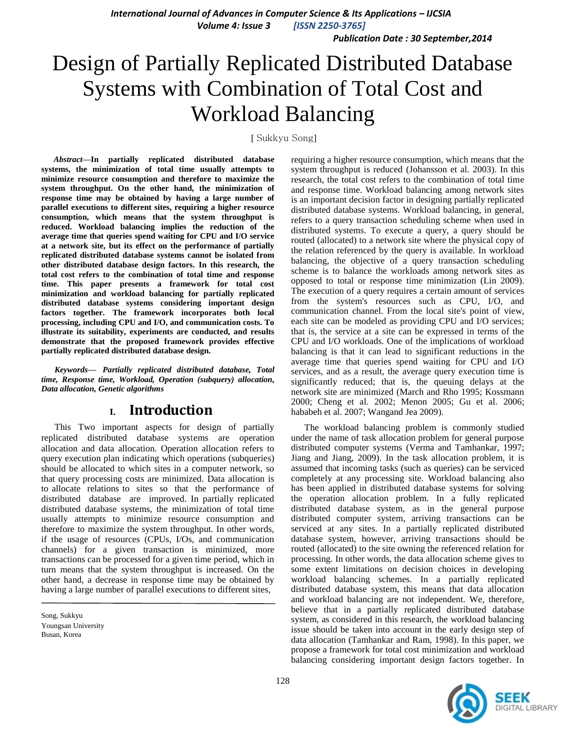*Publication Date : 30 September,2014*

# Design of Partially Replicated Distributed Database Systems with Combination of Total Cost and Workload Balancing

[ Sukkyu Song]

*Abstract***—In partially replicated distributed database systems, the minimization of total time usually attempts to minimize resource consumption and therefore to maximize the system throughput. On the other hand, the minimization of response time may be obtained by having a large number of parallel executions to different sites, requiring a higher resource consumption, which means that the system throughput is reduced. Workload balancing implies the reduction of the average time that queries spend waiting for CPU and I/O service at a network site, but its effect on the performance of partially replicated distributed database systems cannot be isolated from other distributed database design factors. In this research, the total cost refers to the combination of total time and response time. This paper presents a framework for total cost minimization and workload balancing for partially replicated distributed database systems considering important design factors together. The framework incorporates both local processing, including CPU and I/O, and communication costs. To illustrate its suitability, experiments are conducted, and results demonstrate that the proposed framework provides effective partially replicated distributed database design.**

*Keywords— Partially replicated distributed database, Total time, Response time, Workload, Operation (subquery) allocation, Data allocation, Genetic algorithms*

# **I. Introduction**

This Two important aspects for design of partially replicated distributed database systems are operation allocation and data allocation. Operation allocation refers to query execution plan indicating which operations (subqueries) should be allocated to which sites in a computer network, so that query processing costs are minimized. Data allocation is to allocate relations to sites so that the performance of distributed database are improved. In partially replicated distributed database systems, the minimization of total time usually attempts to minimize resource consumption and therefore to maximize the system throughput. In other words, if the usage of resources (CPUs, I/Os, and communication channels) for a given transaction is minimized, more transactions can be processed for a given time period, which in turn means that the system throughput is increased. On the other hand, a decrease in response time may be obtained by having a large number of parallel executions to different sites,

Song, Sukkyu Youngsan University Busan, Korea

requiring a higher resource consumption, which means that the system throughput is reduced (Johansson et al. 2003). In this research, the total cost refers to the combination of total time and response time. Workload balancing among network sites is an important decision factor in designing partially replicated distributed database systems. Workload balancing, in general, refers to a query transaction scheduling scheme when used in distributed systems. To execute a query, a query should be routed (allocated) to a network site where the physical copy of the relation referenced by the query is available. In workload balancing, the objective of a query transaction scheduling scheme is to balance the workloads among network sites as opposed to total or response time minimization (Lin 2009). The execution of a query requires a certain amount of services from the system's resources such as CPU, I/O, and communication channel. From the local site's point of view, each site can be modeled as providing CPU and I/O services; that is, the service at a site can be expressed in terms of the CPU and I/O workloads. One of the implications of workload balancing is that it can lead to significant reductions in the average time that queries spend waiting for CPU and I/O services, and as a result, the average query execution time is significantly reduced; that is, the queuing delays at the network site are minimized (March and Rho 1995; Kossmann 2000; Cheng et al. 2002; Menon 2005; Gu et al. 2006; hababeh et al. 2007; Wangand Jea 2009).

The workload balancing problem is commonly studied under the name of task allocation problem for general purpose distributed computer systems (Verma and Tamhankar, 1997; Jiang and Jiang, 2009). In the task allocation problem, it is assumed that incoming tasks (such as queries) can be serviced completely at any processing site. Workload balancing also has been applied in distributed database systems for solving the operation allocation problem. In a fully replicated distributed database system, as in the general purpose distributed computer system, arriving transactions can be serviced at any sites. In a partially replicated distributed database system, however, arriving transactions should be routed (allocated) to the site owning the referenced relation for processing. In other words, the data allocation scheme gives to some extent limitations on decision choices in developing workload balancing schemes. In a partially replicated distributed database system, this means that data allocation and workload balancing are not independent. We, therefore, believe that in a partially replicated distributed database system, as considered in this research, the workload balancing issue should be taken into account in the early design step of data allocation (Tamhankar and Ram, 1998). In this paper, we propose a framework for total cost minimization and workload balancing considering important design factors together. In

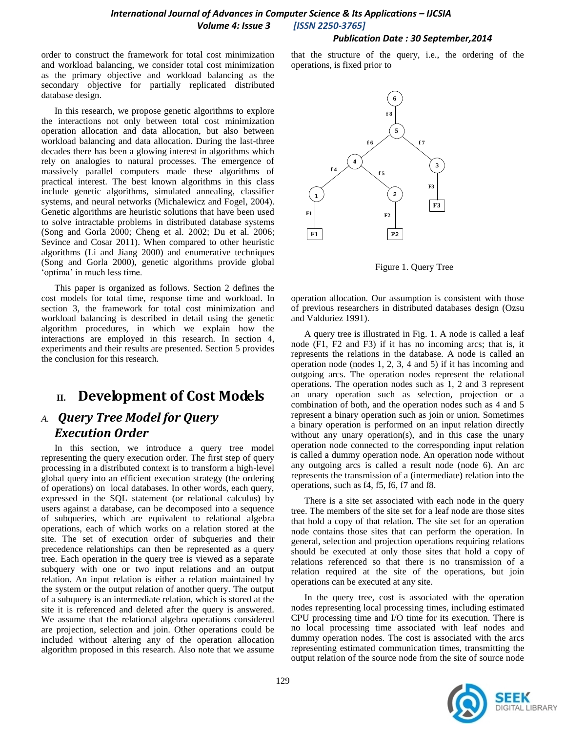order to construct the framework for total cost minimization and workload balancing, we consider total cost minimization as the primary objective and workload balancing as the secondary objective for partially replicated distributed database design.

In this research, we propose genetic algorithms to explore the interactions not only between total cost minimization operation allocation and data allocation, but also between workload balancing and data allocation. During the last-three decades there has been a glowing interest in algorithms which rely on analogies to natural processes. The emergence of massively parallel computers made these algorithms of practical interest. The best known algorithms in this class include genetic algorithms, simulated annealing, classifier systems, and neural networks (Michalewicz and Fogel, 2004). Genetic algorithms are heuristic solutions that have been used to solve intractable problems in distributed database systems (Song and Gorla 2000; Cheng et al. 2002; Du et al. 2006; Sevince and Cosar 2011). When compared to other heuristic algorithms (Li and Jiang 2000) and enumerative techniques (Song and Gorla 2000), genetic algorithms provide global "optima" in much less time.

This paper is organized as follows. Section 2 defines the cost models for total time, response time and workload. In section 3, the framework for total cost minimization and workload balancing is described in detail using the genetic algorithm procedures, in which we explain how the interactions are employed in this research. In section 4, experiments and their results are presented. Section 5 provides the conclusion for this research.

# **II. Development of Cost Models**

# *A. Query Tree Model for Query Execution Order*

In this section, we introduce a query tree model representing the query execution order. The first step of query processing in a distributed context is to transform a high-level global query into an efficient execution strategy (the ordering of operations) on local databases. In other words, each query, expressed in the SQL statement (or relational calculus) by users against a database, can be decomposed into a sequence of subqueries, which are equivalent to relational algebra operations, each of which works on a relation stored at the site. The set of execution order of subqueries and their precedence relationships can then be represented as a query tree. Each operation in the query tree is viewed as a separate subquery with one or two input relations and an output relation. An input relation is either a relation maintained by the system or the output relation of another query. The output of a subquery is an intermediate relation, which is stored at the site it is referenced and deleted after the query is answered. We assume that the relational algebra operations considered are projection, selection and join. Other operations could be included without altering any of the operation allocation algorithm proposed in this research. Also note that we assume

that the structure of the query, i.e., the ordering of the operations, is fixed prior to



Figure 1. Query Tree

operation allocation. Our assumption is consistent with those of previous researchers in distributed databases design (Ozsu and Valduriez 1991).

A query tree is illustrated in Fig. 1. A node is called a leaf node (F1, F2 and F3) if it has no incoming arcs; that is, it represents the relations in the database. A node is called an operation node (nodes 1, 2, 3, 4 and 5) if it has incoming and outgoing arcs. The operation nodes represent the relational operations. The operation nodes such as 1, 2 and 3 represent an unary operation such as selection, projection or a combination of both, and the operation nodes such as 4 and 5 represent a binary operation such as join or union. Sometimes a binary operation is performed on an input relation directly without any unary operation(s), and in this case the unary operation node connected to the corresponding input relation is called a dummy operation node. An operation node without any outgoing arcs is called a result node (node 6). An arc represents the transmission of a (intermediate) relation into the operations, such as f4, f5, f6, f7 and f8.

There is a site set associated with each node in the query tree. The members of the site set for a leaf node are those sites that hold a copy of that relation. The site set for an operation node contains those sites that can perform the operation. In general, selection and projection operations requiring relations should be executed at only those sites that hold a copy of relations referenced so that there is no transmission of a relation required at the site of the operations, but join operations can be executed at any site.

In the query tree, cost is associated with the operation nodes representing local processing times, including estimated CPU processing time and I/O time for its execution. There is no local processing time associated with leaf nodes and dummy operation nodes. The cost is associated with the arcs representing estimated communication times, transmitting the output relation of the source node from the site of source node

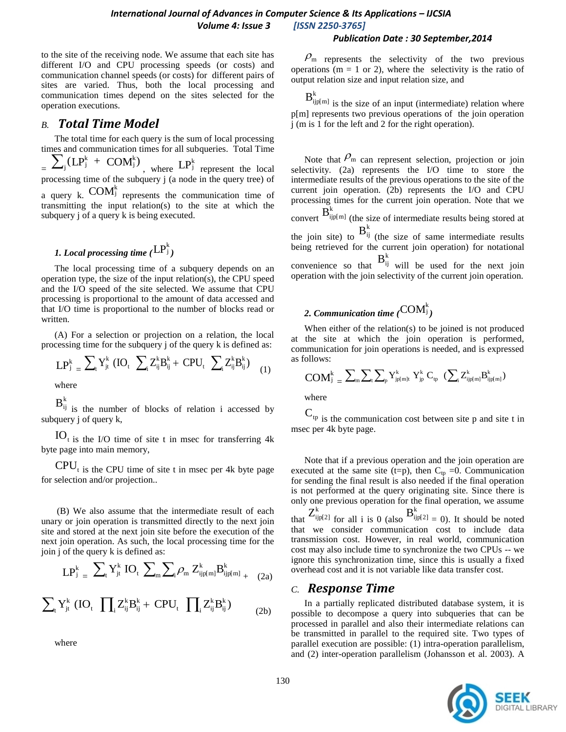to the site of the receiving node. We assume that each site has different I/O and CPU processing speeds (or costs) and communication channel speeds (or costs) for different pairs of sites are varied. Thus, both the local processing and communication times depend on the sites selected for the operation executions.

# *B. Total Time Model*

The total time for each query is the sum of local processing times and communication times for all subqueries. Total Time

 $=\sum_j (LP_j^k + COM_j^k)$ , where  $LP_j^k$  represent the local processing time of the subquery j (a node in the query tree) of a query k.  $COM_j^k$  represents the communication time of transmitting the input relation(s) to the site at which the subquery j of a query k is being executed.

# 1. Local processing time  $(\operatorname{LP}^\mathrm{k}_\mathrm{j})$

The local processing time of a subquery depends on an operation type, the size of the input relation(s), the CPU speed and the I/O speed of the site selected. We assume that CPU processing is proportional to the amount of data accessed and that I/O time is proportional to the number of blocks read or written.

(A) For a selection or projection on a relation, the local processing time for the subquery j of the query k is defined as:

$$
LP_j^k = \sum\nolimits_t^{} {Y_{jt}^k} \left( {IO_t \;\; \sum\nolimits_i^{} {Z_{ij}^k} {B_{ij}^k} + \; CPU_t \;\; \sum\nolimits_i^{} {Z_{ij}^k} {B_{ij}^k} } \right) \quad \ \ \underline{\hspace{1cm}}(1)
$$

where

 $\mathbf{B}^\mathrm{k}_\mathrm{ij}$ 

is the number of blocks of relation i accessed by subquery j of query k,

 $IO_t$  is the I/O time of site t in msec for transferring 4k byte page into main memory,

 $CPU_t$  is the CPU time of site t in msec per 4k byte page for selection and/or projection..

(B) We also assume that the intermediate result of each unary or join operation is transmitted directly to the next join site and stored at the next join site before the execution of the next join operation. As such, the local processing time for the join j of the query k is defined as:

$$
LP_j^k \; = \; \sum\nolimits_t Y_{jt}^k \; IO_t \; \sum\nolimits_n {\sum\nolimits_i \rho_m \, Z_{ijp[m]}^k B_{ijp[m]}^k } \; + \ \ \, (2a)
$$

$$
\sum_{t} Y_{jt}^{k} (IO_{t} \prod_{i} Z_{ij}^{k} B_{ij}^{k} + CPU_{t} \prod_{i} Z_{ij}^{k} B_{ij}^{k})
$$
 (2b)

where

 $P_{\text{m}}$  represents the selectivity of the two previous operations ( $m = 1$  or 2), where the selectivity is the ratio of output relation size and input relation size, and

 $\mathbf{B}^\mathrm{k}_\mathrm{ijp[m]}$ is the size of an input (intermediate) relation where p[m] represents two previous operations of the join operation j (m is 1 for the left and 2 for the right operation).

Note that  $P_m$  can represent selection, projection or join selectivity. (2a) represents the I/O time to store the intermediate results of the previous operations to the site of the current join operation. (2b) represents the I/O and CPU processing times for the current join operation. Note that we  $_{\rm convert}$   $\mathbf{B}_{\rm ijp[m]}^{\rm k}$ (the size of intermediate results being stored at the join site) to  $B_{ij}^k$ (the size of same intermediate results being retrieved for the current join operation) for notational

convenience so that  $B_{ij}^k$ will be used for the next join operation with the join selectivity of the current join operation.

# 2. *Communication time*  $(\text{COM}^\text{k}_\text{j})$

When either of the relation(s) to be joined is not produced at the site at which the join operation is performed, communication for join operations is needed, and is expressed as follows:

$$
\text{COM}^\text{k}_\text{j} \equiv \sum\nolimits_{\text{m}} {\sum}_\text{t} {\sum}_\text{p} {Y}^\text{k}_\text{jp[mlt} \; {Y}^\text{k}_\text{jp} \; C_\text{tp} \;\; ( {\sum}_\text{i} {Z}^\text{k}_\text{ip[ml} B^\text{k}_\text{ip[ml} ) )
$$

where

 $C_{\psi}$  is the communication cost between site p and site t in msec per 4k byte page.

Note that if a previous operation and the join operation are executed at the same site (t=p), then  $C_{tp} = 0$ . Communication for sending the final result is also needed if the final operation is not performed at the query originating site. Since there is only one previous operation for the final operation, we assume that  $Z^{\text{k}}_{\text{ijp[2]}}$ for all i is 0 (also  $B^{k}_{ijp[2]}$ = 0). It should be noted that we consider communication cost to include data transmission cost. However, in real world, communication cost may also include time to synchronize the two CPUs -- we ignore this synchronization time, since this is usually a fixed overhead cost and it is not variable like data transfer cost.

# *C. Response Time*

In a partially replicated distributed database system, it is possible to decompose a query into subqueries that can be processed in parallel and also their intermediate relations can be transmitted in parallel to the required site. Two types of parallel execution are possible: (1) intra-operation parallelism, and (2) inter-operation parallelism (Johansson et al. 2003). A

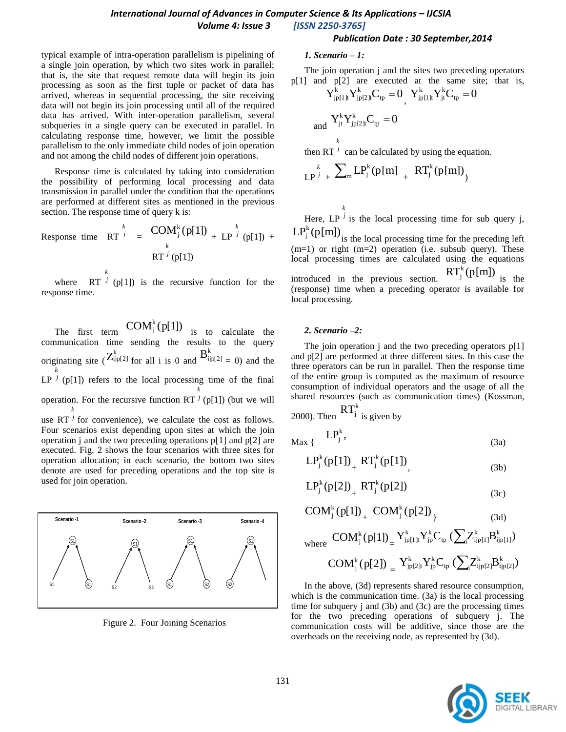#### *Publication Date : 30 September,2014*

typical example of intra-operation parallelism is pipelining of a single join operation, by which two sites work in parallel; that is, the site that request remote data will begin its join processing as soon as the first tuple or packet of data has arrived, whereas in sequential processing, the site receiving data will not begin its join processing until all of the required data has arrived. With inter-operation parallelism, several subqueries in a single query can be executed in parallel. In calculating response time, however, we limit the possible parallelism to the only immediate child nodes of join operation and not among the child nodes of different join operations.

Response time is calculated by taking into consideration the possibility of performing local processing and data transmission in parallel under the condition that the operations are performed at different sites as mentioned in the previous section. The response time of query k is:

Response time RT 
$$
\stackrel{k}{j}
$$
 =  $\frac{COM_j^k(p[1])}{k}$  + LP  $\stackrel{k}{j}$  (p[1]) +  
RT  $\stackrel{j}{j}$  (p[1])

where  $RT$ <sup>*j*</sup> (p[1]) is the recursive function for the response time.

*k*

The first term  $COM_j^k(p[1])$ k is to calculate the communication time sending the results to the query originating site ( $Z_{\text{tip}}^k$ [2] for all i is 0 and  $B_{\text{tip}}^k$ [2]  $= 0$ ) and the LP  $\ell$  (p[1]) refers to the local processing time of the final *k* operation. For the recursive function  $RT^{j}$  (p[1]) (but we will *k* use  $RT^{j}$  for convenience), we calculate the cost as follows. *k* Four scenarios exist depending upon sites at which the join

operation j and the two preceding operations p[1] and p[2] are executed. Fig. 2 shows the four scenarios with three sites for operation allocation; in each scenario, the bottom two sites denote are used for preceding operations and the top site is used for join operation.



Figure 2. Four Joining Scenarios

#### *1. Scenario – 1:*

The join operation j and the sites two preceding operators p[1] and p[2] are executed at the same site; that is,

$$
Y_{jp[1]t}^{k}Y_{jp[2]t}^{k}C_{tp} = 0 \sum_{j: p[1]t} Y_{jt}^{k}C_{tp} = 0
$$
  
and 
$$
Y_{jt}^{k}Y_{jp[2]t}^{k}C_{tp} = 0
$$

$$
\begin{array}{c}\n1 \\
k\n\end{array}
$$

*k*

jp[2]t

then RT  $<sup>j</sup>$  can be calculated by using the equation.</sup>

$$
_{LP}^{\ \ \, k}\,+\,\sum_m L P_j^k(p[m]\,\ _+\ \, RT_j^k(p[m])\biggr)
$$

Here, LP  $j$  is the local processing time for sub query j,  $LP_j^k(p[m])$  is the local processing time for the preceding left

 $(m=1)$  or right  $(m=2)$  operation (i.e. subsub query). These local processing times are calculated using the equations introduced in the previous section.  $RT_j^k(p[m])$ is the (response) time when a preceding operator is available for local processing.

### *2. Scenario –2:*

The join operation j and the two preceding operators  $p[1]$ and p[2] are performed at three different sites. In this case the three operators can be run in parallel. Then the response time of the entire group is computed as the maximum of resource consumption of individual operators and the usage of all the shared resources (such as communication times) (Kossman,

2000). Then  $\mathsf{RT}_{j}^{k}$  is given by

 $LP_i^k$ ,

Max {

$$
\text{LP}_i^k(p[1]) \quad \text{RT}_i^k(p[1]) \tag{3a}
$$

$$
L_{j}^{T}(\text{P11})_{+}^{T}KL_{j}(\text{P11})_{,}
$$
 (3b)

$$
LP_j^k(p[2])_+ RT_j^k(p[2])
$$
\n(3c)

$$
COM_j^k(p[1]) + COM_j^k(p[2])
$$
 (3d)

$$
\begin{aligned} \text{where} \quad & \text{COM}_{\text{j}}^{\text{k}}\left(\text{p[1]}\right)_{=}Y_{\text{jp[1]t}}^{\text{k}}Y_{\text{jp}}^{\text{k}}C_{\text{tp}}\left(\sum_{i}Z_{\text{ip[1]}}^{\text{k}}B_{\text{ip[1]}}^{\text{k}}\right) \\ & \text{COM}_{\text{j}}^{\text{k}}\left(\text{p[2]}\right)_{=}Y_{\text{jp[2]t}}^{\text{k}}Y_{\text{jp}}^{\text{k}}C_{\text{tp}}\left(\sum_{i}Z_{\text{ip[2]}}^{\text{k}}B_{\text{ip[2]}}^{\text{k}}\right) \end{aligned}
$$

In the above, (3d) represents shared resource consumption, which is the communication time. (3a) is the local processing time for subquery j and (3b) and (3c) are the processing times for the two preceding operations of subquery j. The communication costs will be additive, since those are the overheads on the receiving node, as represented by (3d).



 $(2a)$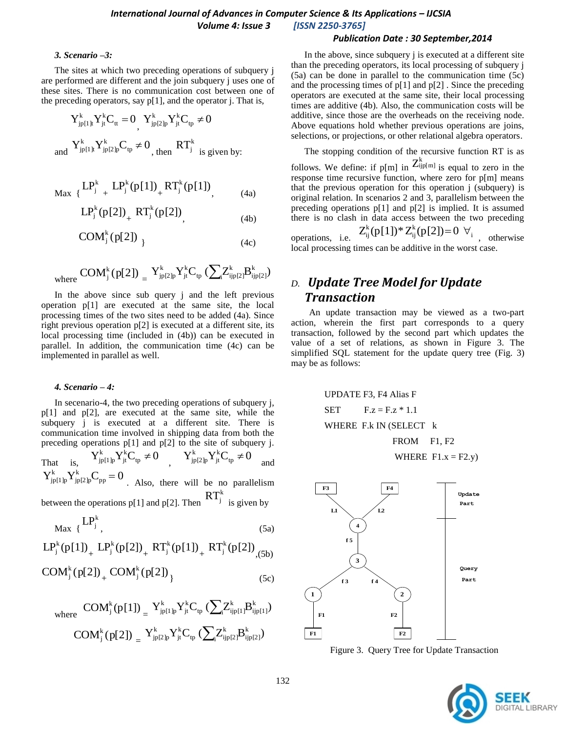### *3. Scenario –3:*

The sites at which two preceding operations of subquery j are performed are different and the join subquery j uses one of these sites. There is no communication cost between one of the preceding operators, say p[1], and the operator j. That is,

$$
Y_{jp[1]t}^{k} Y_{jt}^{k} C_{tt} = 0 \underset{\text{and} \quad X_{jp[2]p}^{k} Y_{jt}^{k} C_{tp}}{\leftarrow} \neq 0
$$
\n
$$
Y_{jp[1]t}^{k} Y_{jp[2]p}^{k} C_{tp} \neq 0 \underset{\text{then} \quad X_{j}^{k}}{\leftarrow} RT_{j}^{k} \text{ is given by:}
$$

$$
~~{\text{Max}\;\;}\{\;LP_j^k\;+\;LP_j^k(p[1])\;+\;RT_j^k(p[1])\qquad \qquad (4a)
$$

$$
LP_j^k(p[2])_+ RT_j^k(p[2])_+(4b)
$$

$$
COM_j^k(p[2])\big|_3 \tag{4c}
$$

where  $COM_j^k(p[2])$ k  $=\frac{Y^k_{jp[2]p}Y^k_{jt}C_{tp}\ (\sum_i Z^k_{ijp[2]}B^k_{ijp[2]})}$  $L_{ijp[2]}$  ijp[2] k tp  $\setminus \angle_i$  ijp[2] k jt  $\sum_{jp[2]p}^{k} Y_{jt}^{k} C_{tp} (\sum)$ 

In the above since sub query j and the left previous operation p[1] are executed at the same site, the local processing times of the two sites need to be added (4a). Since right previous operation p[2] is executed at a different site, its local processing time (included in (4b)) can be executed in parallel. In addition, the communication time (4c) can be implemented in parallel as well.

#### *4. Scenario – 4:*

In secenario-4, the two preceding operations of subquery j, p[1] and p[2], are executed at the same site, while the subquery j is executed at a different site. There is communication time involved in shipping data from both the preceding operations p[1] and p[2] to the site of subquery j. That is,  $Y_{jp[1]p}^k Y_{jt}^k C_{tp} \neq 0$ jt  $V_{jp[1]p}^{k} Y_{jt}^{k} C_{tp} \neq 0 \qquad Y_{jp[2]p}^{k} Y_{jt}^{k} C_{tp} \neq 0$ jt  ${}_{\text{ip}[2]\text{p}}^k Y_{\text{jt}}^k C_{\text{tp}} \neq 0$  and  $Y_{jp[1]p}^k Y_{jp[2]p}^k C_{pp} = 0$ jp[2]p  $\sum_{p=1}^{k} Y_{p+1}^{k} \sum_{p=p}^{k} = 0$ . Also, there will be no parallelism between the operations p[1] and p[2]. Then  $\mathsf{RT}_{j}^{k}$  is given by  $\mathbf{r}$   $\mathbf{R}$ 

$$
\text{Max} \ \left\{ \begin{array}{c} \text{LT}_{j} \end{array} \right\}, \tag{5a}
$$

$$
LP_j^k(p[1]) \mathbin{\hbox{\small$+}$} LP_j^k(p[2]) \mathbin{\hbox{\small$+$}} R T_j^k(p[1]) \mathbin{\hbox{\small$+$}} R T_j^k(p[2]) \mathbin{\hbox{\small$+$}}_{(5b)}
$$

$$
COM_j^k(p[2]) + COM_j^k(p[2])
$$
 (5c)

$$
\begin{aligned} \text{where} \quad & COM_{j}^{k}(p[1]) \, \text{ } = \, Y_{jp[1]p}^{k} Y_{jt}^{k} C_{tp} \, (\sum_{i} Z_{ijp[1]}^{k} B_{ijp[1]}^{k}) \\ & COM_{j}^{k}(p[2]) \, \text{ } = \, Y_{jp[2]p}^{k} Y_{jt}^{k} C_{tp} \, (\sum_{i} Z_{ijp[2]}^{k} B_{ijp[2]}^{k}) \end{aligned}
$$

In the above, since subquery j is executed at a different site than the preceding operators, its local processing of subquery j (5a) can be done in parallel to the communication time (5c) and the processing times of p[1] and p[2] . Since the preceding operators are executed at the same site, their local processing times are additive (4b). Also, the communication costs will be additive, since those are the overheads on the receiving node. Above equations hold whether previous operations are joins, selections, or projections, or other relational algebra operators.

The stopping condition of the recursive function RT is as follows. We define: if p[m] in  $Z_{ijp[m]}^k$  is equal to zero in the response time recursive function, where zero for p[m] means that the previous operation for this operation j (subquery) is original relation. In scenarios 2 and 3, parallelism between the preceding operations p[1] and p[2] is implied. It is assumed there is no clash in data access between the two preceding k

operations, i.e. i ij  $Z_{ij}^k(p[1])^* Z_{ij}^k(p[2]) = 0 \ \forall j$ otherwise local processing times can be additive in the worst case.

# *D. Update Tree Model for Update Transaction*

An update transaction may be viewed as a two-part action, wherein the first part corresponds to a query transaction, followed by the second part which updates the value of a set of relations, as shown in Figure 3. The simplified SQL statement for the update query tree (Fig. 3) may be as follows:

> UPDATE F3, F4 Alias F SET  $F.z = F.z * 1.1$ WHERE F.k IN (SELECT k FROM F1, F2 WHERE  $F1.x = F2.y$



Figure 3. Query Tree for Update Transaction

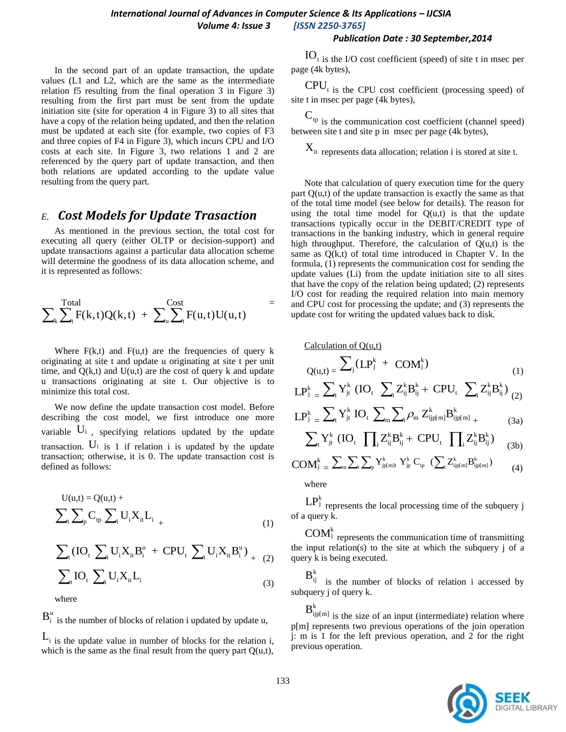In the second part of an update transaction, the update values (L1 and L2, which are the same as the intermediate relation f5 resulting from the final operation 3 in Figure 3) resulting from the first part must be sent from the update initiation site (site for operation 4 in Figure 3) to all sites that have a copy of the relation being updated, and then the relation must be updated at each site (for example, two copies of F3 and three copies of F4 in Figure 3), which incurs CPU and I/O costs at each site. In Figure 3, two relations 1 and 2 are referenced by the query part of update transaction, and then both relations are updated according to the update value resulting from the query part.

# *E. Cost Models for Update Trasaction*

As mentioned in the previous section, the total cost for executing all query (either OLTP or decision-support) and update transactions against a particular data allocation scheme will determine the goodness of its data allocation scheme, and it is represented as follows:

$$
\sum\nolimits_k \sum\nolimits_t \nolimits F(k,t) Q(k,t) + \sum\nolimits_u \nolimits_{u} \sum\nolimits_t \nolimits F(u,t) U(u,t) =
$$

Where  $F(k,t)$  and  $F(u,t)$  are the frequencies of query k originating at site t and update u originating at site t per unit time, and  $Q(k,t)$  and  $U(u,t)$  are the cost of query k and update u transactions originating at site t. Our objective is to minimize this total cost.

We now define the update transaction cost model. Before describing the cost model, we first introduce one more variable  $U_i$ , specifying relations updated by the update transaction. U<sub>i</sub> is 1 if relation i is updated by the update transaction; otherwise, it is 0. The update transaction cost is defined as follows:

$$
U(u,t) = Q(u,t) + \sum_{t} \sum_{p} C_{tp} \sum_{i} U_{i} X_{it} L_{i} + \sum_{i} C_{tp} \sum_{i} U_{i} X_{it} L_{i} \tag{1}
$$

$$
\begin{aligned} &\sum\nolimits_{t}\left( {IO_{t} \sum\nolimits_{i}U_{i}X_{it}B_{i}^{u}+CPU_{t} \sum\nolimits_{i}U_{i}X_{it}B_{i}^{u}} \right)_{+}\end{aligned} \hspace{.2cm} (2)
$$

where

 $B_i^u$  is the number of blocks of relation i updated by update u,

 $L_i$  is the update value in number of blocks for the relation i, which is the same as the final result from the query part  $Q(u,t)$ ,

### *Publication Date : 30 September,2014*

 $IO_t$  is the I/O cost coefficient (speed) of site t in msec per page (4k bytes),

 $CPU_t$ <sub>is the CPU</sub> cost coefficient (processing speed) of site t in msec per page (4k bytes),

 $C_{tp}$  is the communication cost coefficient (channel speed) between site t and site p in msec per page (4k bytes),

 $X_{it}$  represents data allocation; relation i is stored at site t.

Note that calculation of query execution time for the query part  $Q(u,t)$  of the update transaction is exactly the same as that of the total time model (see below for details). The reason for using the total time model for  $Q(u,t)$  is that the update transactions typically occur in the DEBIT/CREDIT type of transactions in the banking industry, which in general require high throughput. Therefore, the calculation of  $Q(u,t)$  is the same as  $Q(k,t)$  of total time introduced in Chapter V. In the formula, (1) represents the communication cost for sending the update values (Li) from the update initiation site to all sites that have the copy of the relation being updated; (2) represents I/O cost for reading the required relation into main memory and CPU cost for processing the update; and (3) represents the update cost for writing the updated values back to disk.

Calculation of Q(u,t)

$$
Q(u,t) = \sum_{j} (LP_j^k + COM_j^k)
$$
\n
$$
LP_j^k = \sum_{t} Y_{jt}^k (IO_t \sum_{i} Z_{ij}^k B_{ij}^k + CPU_t \sum_{i} Z_{ij}^k B_{ij}^k)
$$
\n
$$
LP_j^k = \sum_{t} Y_{jt}^k IO_t \sum_{m} \sum_{i} \rho_m Z_{ijp[m]}^k B_{ijp[m]}^k + (3a)
$$
\n
$$
\sum_{t} \mathbf{V}_{t}^k (IO_t \prod_{i} Z_{t}^k B_{it}^k + CPU_t \prod_{i} Z_{t}^k B_{it}^k)
$$

$$
\sum_{i} Y_{ji}^{k} (IO_{t} \prod_{i} Z_{ij}^{k} B_{ij}^{k} + CPU_{t} \prod_{i} Z_{ij}^{k} B_{ij}^{k})
$$
 (3b)

$$
COM_j^k \underset{=}{=} \sum\nolimits_n \sum\nolimits_t \sum\nolimits_p Y_{j p[m]t}^k \ Y_{j p}^k \ C_{tp} \ \ (\sum\nolimits_i Z_{ijp[m]}^k B_{ijp[m]}^k) \eqno{(4)}
$$

where

 $LP_j^k$  represents the local processing time of the subquery j of a query k.

 $COM_j^k$  represents the communication time of transmitting the input relation(s) to the site at which the subquery j of a query k is being executed.

 $\mathbf{B}^\text{k}_\text{ij}$  is the number of blocks of relation i accessed by subquery j of query k.

 $\mathbf{B}^\mathrm{k}_\mathrm{ijp[m]}$ is the size of an input (intermediate) relation where p[m] represents two previous operations of the join operation j: m is 1 for the left previous operation, and 2 for the right previous operation.

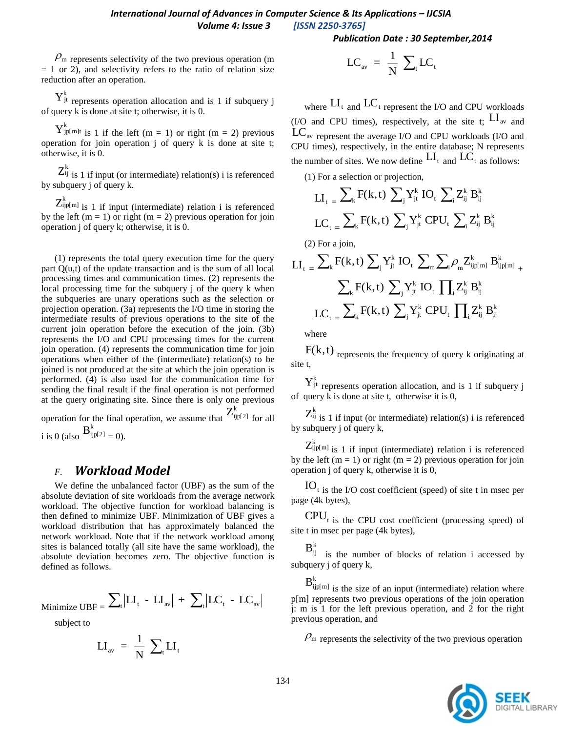*Publication Date : 30 September,2014*

 $P_{\text{m}}$  represents selectivity of the two previous operation (m  $= 1$  or 2), and selectivity refers to the ratio of relation size reduction after an operation.

 $Y_{j_t}^k$  represents operation allocation and is 1 if subquery j of query k is done at site t; otherwise, it is 0.

 $Y_{jp[m]t}^{k}$  is 1 if the left (m = 1) or right (m = 2) previous operation for join operation j of query k is done at site t; otherwise, it is 0.

 $Z_{ij}^k$  is 1 if input (or intermediate) relation(s) i is referenced by subquery  $\mathbf i$  of query  $\mathbf k$ .

 $Z_{\text{ijp[m]}}^k$  is 1 if input (intermediate) relation i is referenced by the left ( $m = 1$ ) or right ( $m = 2$ ) previous operation for join operation j of query k; otherwise, it is 0.

(1) represents the total query execution time for the query part Q(u,t) of the update transaction and is the sum of all local processing times and communication times. (2) represents the local processing time for the subquery j of the query k when the subqueries are unary operations such as the selection or projection operation. (3a) represents the I/O time in storing the intermediate results of previous operations to the site of the current join operation before the execution of the join. (3b) represents the I/O and CPU processing times for the current join operation. (4) represents the communication time for join operations when either of the (intermediate) relation(s) to be joined is not produced at the site at which the join operation is performed. (4) is also used for the communication time for sending the final result if the final operation is not performed at the query originating site. Since there is only one previous operation for the final operation, we assume that  $Z^{\rm k}_{\rm ipf[2]}$ for all

i is 0 (also  $B^{k}_{ijp[2]}$  $= 0$ ).

# *F. Workload Model*

We define the unbalanced factor (UBF) as the sum of the absolute deviation of site workloads from the average network workload. The objective function for workload balancing is then defined to minimize UBF. Minimization of UBF gives a workload distribution that has approximately balanced the network workload. Note that if the network workload among sites is balanced totally (all site have the same workload), the absolute deviation becomes zero. The objective function is defined as follows.

$$
\text{Minimize } \text{UBF} = \sum_{t} |LI_{t} - LI_{av}| + \sum_{t} |LC_{t} - LC_{av}|
$$

subject to

$$
LI_{av} = \frac{1}{N} \sum_{t} LI_{t}
$$

$$
LC_{av} = \frac{1}{N} \sum_{t} LC_{t}
$$

where  $LI_{t}$  and  $LC_{t}$  represent the I/O and CPU workloads (I/O and CPU times), respectively, at the site t;  $LI_{av}$  and  $LC_{\text{av}}$  represent the average I/O and CPU workloads (I/O and CPU times), respectively, in the entire database; N represents the number of sites. We now define  $LI_{t}$  and  $LC_{t}$  as follows:

(1) For a selection or projection,

$$
LI_{t} = \sum_{k} F(k, t) \sum_{j} Y_{jt}^{k} IO_{t} \sum_{i} Z_{ij}^{k} B_{ij}^{k}
$$
  
\n
$$
LC_{t} = \sum_{k} F(k, t) \sum_{j} Y_{jt}^{k} CPU_{t} \sum_{i} Z_{ij}^{k} B_{ij}^{k}
$$
  
\n(2) For a join,  
\n
$$
LI_{t} = \sum_{k} F(k, t) \sum_{j} Y_{jt}^{k} IO_{t} \sum_{m} \sum_{i} \rho_{m} Z_{ijp[m]}^{k} B_{ijp[m]}^{k} + \sum_{k} F(k, t) \sum_{j} Y_{jt}^{k} IO_{t} \prod_{i} Z_{ij}^{k} B_{ij}^{k}
$$
  
\n
$$
LC_{t} = \sum_{k} F(k, t) \sum_{j} Y_{jt}^{k} CPU_{t} \prod_{i} Z_{ij}^{k} B_{ij}^{k}
$$

where

 $F(k, t)$  represents the frequency of query k originating at site t,

 $Y_{j_t}^k$  represents operation allocation, and is 1 if subquery j of query  $\vec{k}$  is done at site t, otherwise it is 0,

 $Z_{ij}^k$  is 1 if input (or intermediate) relation(s) i is referenced by subquery j of query k,

 $Z_{ijp[m]}^k$  is 1 if input (intermediate) relation i is referenced by the left ( $m = 1$ ) or right ( $m = 2$ ) previous operation for join operation j of query k, otherwise it is 0,

 $IO_t$  is the I/O cost coefficient (speed) of site t in msec per page (4k bytes),

 $CPU_t$  is the CPU cost coefficient (processing speed) of site t in msec per page (4k bytes),

 $\mathbf{B}^\mathrm{k}_\mathrm{ij}$  is the number of blocks of relation i accessed by subquery j of query k,

 $\mathbf{B}^\mathrm{k}_\mathrm{ijp[m]}$ is the size of an input (intermediate) relation where p[m] represents two previous operations of the join operation j: m is 1 for the left previous operation, and 2 for the right previous operation, and

 $P_{\text{m}}$  represents the selectivity of the two previous operation

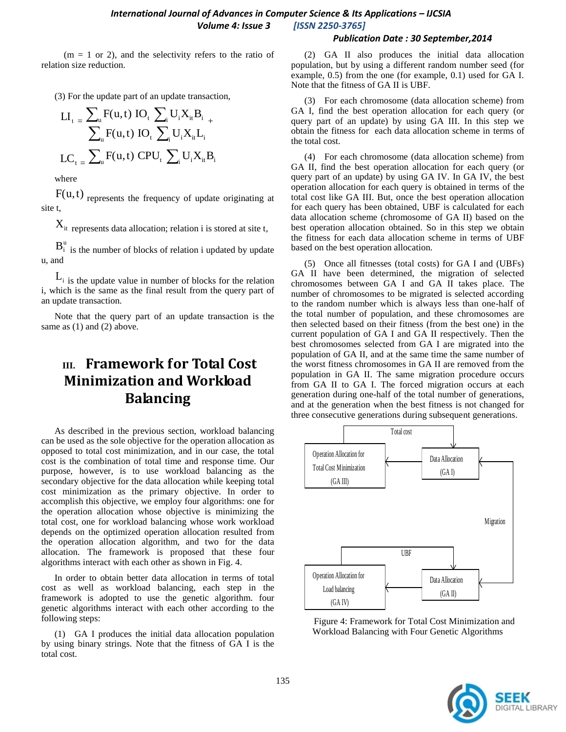$(m = 1 \text{ or } 2)$ , and the selectivity refers to the ratio of relation size reduction.

(3) For the update part of an update transaction,

$$
LI_{t} = \frac{\sum_{u} F(u, t) \ IO_{t} \sum_{i} U_{i} X_{it} B_{i}}{\sum_{u} F(u, t) \ IO_{t} \sum_{i} U_{i} X_{it} L_{i}}
$$

$$
LC_{t} = \sum_{u} F(u, t) \ CPU_{t} \sum_{i} U_{i} X_{it} B_{i}
$$

where

 $F(u, t)$  represents the frequency of update originating at site t,

 $X_{it}$  represents data allocation; relation i is stored at site t,

 $B_i^u$  is the number of blocks of relation i updated by update u, and

 $L_i$  is the update value in number of blocks for the relation i, which is the same as the final result from the query part of an update transaction.

Note that the query part of an update transaction is the same as (1) and (2) above.

# **III. Framework for Total Cost Minimization and Workload Balancing**

As described in the previous section, workload balancing can be used as the sole objective for the operation allocation as opposed to total cost minimization, and in our case, the total cost is the combination of total time and response time. Our purpose, however, is to use workload balancing as the secondary objective for the data allocation while keeping total cost minimization as the primary objective. In order to accomplish this objective, we employ four algorithms: one for the operation allocation whose objective is minimizing the total cost, one for workload balancing whose work workload depends on the optimized operation allocation resulted from the operation allocation algorithm, and two for the data allocation. The framework is proposed that these four algorithms interact with each other as shown in Fig. 4.

In order to obtain better data allocation in terms of total cost as well as workload balancing, each step in the framework is adopted to use the genetic algorithm. four genetic algorithms interact with each other according to the following steps:

(1) GA I produces the initial data allocation population by using binary strings. Note that the fitness of GA I is the total cost.

(2) GA II also produces the initial data allocation population, but by using a different random number seed (for example, 0.5) from the one (for example, 0.1) used for GA I. Note that the fitness of GA II is UBF.

(3) For each chromosome (data allocation scheme) from GA I, find the best operation allocation for each query (or query part of an update) by using GA III. In this step we obtain the fitness for each data allocation scheme in terms of the total cost.

(4) For each chromosome (data allocation scheme) from GA II, find the best operation allocation for each query (or query part of an update) by using GA IV. In GA IV, the best operation allocation for each query is obtained in terms of the total cost like GA III. But, once the best operation allocation for each query has been obtained, UBF is calculated for each data allocation scheme (chromosome of GA II) based on the best operation allocation obtained. So in this step we obtain the fitness for each data allocation scheme in terms of UBF based on the best operation allocation.

(5) Once all fitnesses (total costs) for GA I and (UBFs) GA II have been determined, the migration of selected chromosomes between GA I and GA II takes place. The number of chromosomes to be migrated is selected according to the random number which is always less than one-half of the total number of population, and these chromosomes are then selected based on their fitness (from the best one) in the current population of GA I and GA II respectively. Then the best chromosomes selected from GA I are migrated into the population of GA II, and at the same time the same number of the worst fitness chromosomes in GA II are removed from the population in GA II. The same migration procedure occurs from GA II to GA I. The forced migration occurs at each generation during one-half of the total number of generations, and at the generation when the best fitness is not changed for three consecutive generations during subsequent generations.



Figure 4: Framework for Total Cost Minimization and Workload Balancing with Four Genetic Algorithms

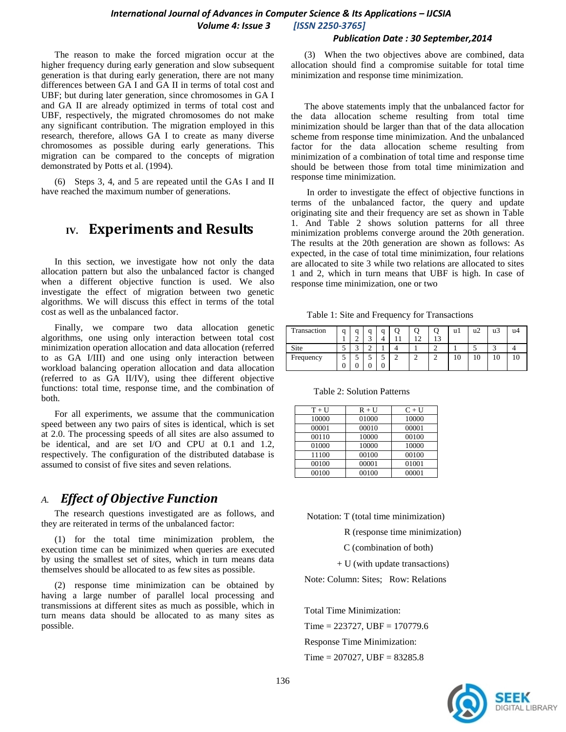#### *Publication Date : 30 September,2014*

The reason to make the forced migration occur at the higher frequency during early generation and slow subsequent generation is that during early generation, there are not many differences between GA I and GA II in terms of total cost and UBF; but during later generation, since chromosomes in GA I and GA II are already optimized in terms of total cost and UBF, respectively, the migrated chromosomes do not make any significant contribution. The migration employed in this research, therefore, allows GA I to create as many diverse chromosomes as possible during early generations. This migration can be compared to the concepts of migration demonstrated by Potts et al. (1994).

(6) Steps 3, 4, and 5 are repeated until the GAs I and II have reached the maximum number of generations.

# **IV. Experiments and Results**

In this section, we investigate how not only the data allocation pattern but also the unbalanced factor is changed when a different objective function is used. We also investigate the effect of migration between two genetic algorithms. We will discuss this effect in terms of the total cost as well as the unbalanced factor.

Finally, we compare two data allocation genetic algorithms, one using only interaction between total cost minimization operation allocation and data allocation (referred to as GA I/III) and one using only interaction between workload balancing operation allocation and data allocation (referred to as GA II/IV), using thee different objective functions: total time, response time, and the combination of both.

For all experiments, we assume that the communication speed between any two pairs of sites is identical, which is set at 2.0. The processing speeds of all sites are also assumed to be identical, and are set I/O and CPU at 0.1 and 1.2, respectively. The configuration of the distributed database is assumed to consist of five sites and seven relations.

# *A. Effect of Objective Function*

The research questions investigated are as follows, and they are reiterated in terms of the unbalanced factor:

(1) for the total time minimization problem, the execution time can be minimized when queries are executed by using the smallest set of sites, which in turn means data themselves should be allocated to as few sites as possible.

(2) response time minimization can be obtained by having a large number of parallel local processing and transmissions at different sites as much as possible, which in turn means data should be allocated to as many sites as possible.

(3) When the two objectives above are combined, data allocation should find a compromise suitable for total time minimization and response time minimization.

The above statements imply that the unbalanced factor for the data allocation scheme resulting from total time minimization should be larger than that of the data allocation scheme from response time minimization. And the unbalanced factor for the data allocation scheme resulting from minimization of a combination of total time and response time should be between those from total time minimization and response time minimization.

In order to investigate the effect of objective functions in terms of the unbalanced factor, the query and update originating site and their frequency are set as shown in Table 1. And Table 2 shows solution patterns for all three minimization problems converge around the 20th generation. The results at the 20th generation are shown as follows: As expected, in the case of total time minimization, four relations are allocated to site 3 while two relations are allocated to sites 1 and 2, which in turn means that UBF is high. In case of response time minimization, one or two

Table 1: Site and Frequency for Transactions

| Transaction | a | a      | a      | a |              |             | ul | u2 | u <sub>3</sub> | u4 |
|-------------|---|--------|--------|---|--------------|-------------|----|----|----------------|----|
|             |   | ↩      | ⌒<br>ر |   | $1^{\wedge}$ | $1^{\circ}$ |    |    |                |    |
| Site        |   | ⌒<br>◡ | ⌒      |   |              |             |    |    |                |    |
| Frequency   | ت | J      | J      | ت |              |             | ΙU | 1Ψ | ΙU             |    |
|             |   |        |        | 0 |              |             |    |    |                |    |

| $T + U$ | $R + U$ | $C + U$ |
|---------|---------|---------|
| 10000   | 01000   | 10000   |
| 00001   | 00010   | 00001   |
| 00110   | 10000   | 00100   |
| 01000   | 10000   | 10000   |
| 11100   | 00100   | 00100   |
| 00100   | 00001   | 01001   |
| 00100   | 00100   | 00001   |

Table 2: Solution Patterns

Notation: T (total time minimization)

R (response time minimization)

C (combination of both)

+ U (with update transactions)

Note: Column: Sites; Row: Relations

Total Time Minimization:

 $Time = 223727$ ,  $UBF = 170779.6$ Response Time Minimization:  $Time = 207027$ ,  $UBF = 83285.8$ 

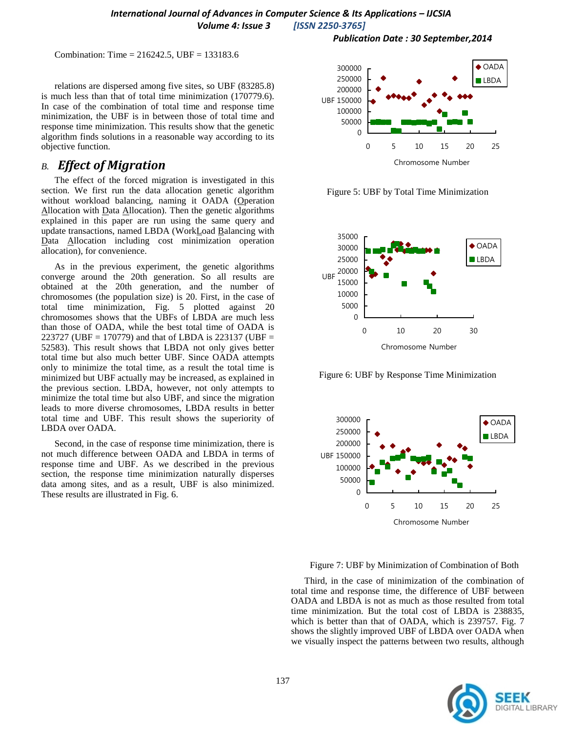Combination: Time = 216242.5, UBF = 133183.6

relations are dispersed among five sites, so UBF (83285.8) is much less than that of total time minimization (170779.6). In case of the combination of total time and response time minimization, the UBF is in between those of total time and response time minimization. This results show that the genetic algorithm finds solutions in a reasonable way according to its objective function.

# *B. Effect of Migration*

The effect of the forced migration is investigated in this section. We first run the data allocation genetic algorithm without workload balancing, naming it OADA (Operation Allocation with Data Allocation). Then the genetic algorithms explained in this paper are run using the same query and update transactions, named LBDA (WorkLoad Balancing with Data Allocation including cost minimization operation allocation), for convenience.

As in the previous experiment, the genetic algorithms converge around the 20th generation. So all results are obtained at the 20th generation, and the number of chromosomes (the population size) is 20. First, in the case of total time minimization, Fig. 5 plotted against 20 chromosomes shows that the UBFs of LBDA are much less than those of OADA, while the best total time of OADA is 223727 (UBF = 170779) and that of LBDA is 223137 (UBF = 52583). This result shows that LBDA not only gives better total time but also much better UBF. Since OADA attempts only to minimize the total time, as a result the total time is minimized but UBF actually may be increased, as explained in the previous section. LBDA, however, not only attempts to minimize the total time but also UBF, and since the migration leads to more diverse chromosomes, LBDA results in better total time and UBF. This result shows the superiority of LBDA over OADA.

Second, in the case of response time minimization, there is not much difference between OADA and LBDA in terms of response time and UBF. As we described in the previous section, the response time minimization naturally disperses data among sites, and as a result, UBF is also minimized. These results are illustrated in Fig. 6.

*Publication Date : 30 September,2014*



Figure 5: UBF by Total Time Minimization



Figure 6: UBF by Response Time Minimization



Figure 7: UBF by Minimization of Combination of Both

Third, in the case of minimization of the combination of total time and response time, the difference of UBF between OADA and LBDA is not as much as those resulted from total time minimization. But the total cost of LBDA is 238835, which is better than that of OADA, which is 239757. Fig. 7 shows the slightly improved UBF of LBDA over OADA when we visually inspect the patterns between two results, although

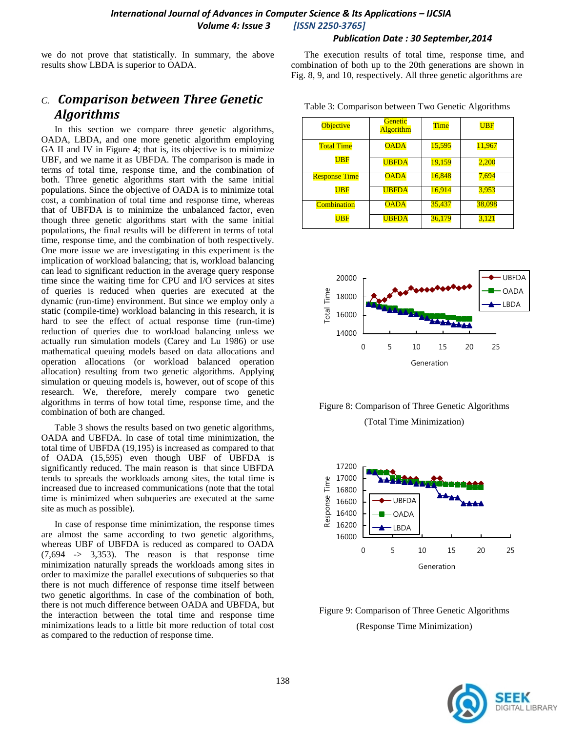we do not prove that statistically. In summary, the above results show LBDA is superior to OADA.

# *C. Comparison between Three Genetic Algorithms*

In this section we compare three genetic algorithms, OADA, LBDA, and one more genetic algorithm employing GA II and IV in Figure 4; that is, its objective is to minimize UBF, and we name it as UBFDA. The comparison is made in terms of total time, response time, and the combination of both. Three genetic algorithms start with the same initial populations. Since the objective of OADA is to minimize total cost, a combination of total time and response time, whereas that of UBFDA is to minimize the unbalanced factor, even though three genetic algorithms start with the same initial populations, the final results will be different in terms of total time, response time, and the combination of both respectively. One more issue we are investigating in this experiment is the implication of workload balancing; that is, workload balancing can lead to significant reduction in the average query response time since the waiting time for CPU and I/O services at sites of queries is reduced when queries are executed at the dynamic (run-time) environment. But since we employ only a static (compile-time) workload balancing in this research, it is hard to see the effect of actual response time (run-time) reduction of queries due to workload balancing unless we actually run simulation models (Carey and Lu 1986) or use mathematical queuing models based on data allocations and operation allocations (or workload balanced operation allocation) resulting from two genetic algorithms. Applying simulation or queuing models is, however, out of scope of this research. We, therefore, merely compare two genetic algorithms in terms of how total time, response time, and the combination of both are changed.

Table 3 shows the results based on two genetic algorithms, OADA and UBFDA. In case of total time minimization, the total time of UBFDA (19,195) is increased as compared to that of OADA (15,595) even though UBF of UBFDA is significantly reduced. The main reason is that since UBFDA tends to spreads the workloads among sites, the total time is increased due to increased communications (note that the total time is minimized when subqueries are executed at the same site as much as possible).

In case of response time minimization, the response times are almost the same according to two genetic algorithms, whereas UBF of UBFDA is reduced as compared to OADA  $(7,694 \rightarrow 3,353)$ . The reason is that response time minimization naturally spreads the workloads among sites in order to maximize the parallel executions of subqueries so that there is not much difference of response time itself between two genetic algorithms. In case of the combination of both, there is not much difference between OADA and UBFDA, but the interaction between the total time and response time minimizations leads to a little bit more reduction of total cost as compared to the reduction of response time.

The execution results of total time, response time, and combination of both up to the 20th generations are shown in Fig. 8, 9, and 10, respectively. All three genetic algorithms are

Table 3: Comparison between Two Genetic Algorithms

| <b>Objective</b>     | Genetic<br><b>Algorithm</b> | <b>Time</b> | <b>UBF</b> |
|----------------------|-----------------------------|-------------|------------|
| <b>Total Time</b>    | <b>OADA</b>                 | 15,595      | 11,967     |
| <b>UBF</b>           | <b>UBFDA</b>                | 19,159      | 2,200      |
| <b>Response Time</b> | <b>OADA</b>                 | 16,848      | 7,694      |
| <b>UBF</b>           | <b>UBFDA</b>                | 16,914      | 3,953      |
| <b>Combination</b>   | <b>OADA</b>                 | 35,437      | 38,098     |
| UBF                  | <b>UBFDA</b>                | 36,179      | 3,121      |







Figure 9: Comparison of Three Genetic Algorithms (Response Time Minimization)